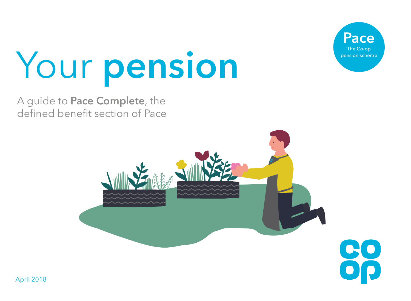

# Your **pension**

A guide to **Pace Complete**, the defined benefit section of Pace

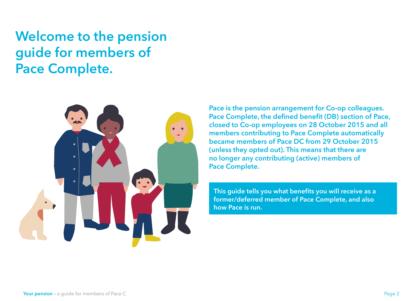**Welcome to the pension guide for members of Pace Complete.**



**Pace is the pension arrangement for Co-op colleagues. Pace Complete, the defined benefit (DB) section of Pace, closed to Co-op employees on 28 October 2015 and all members contributing to Pace Complete automatically became members of Pace DC from 29 October 2015 (unless they opted out). This means that there are no longer any contributing (active) members of Pace Complete.**

**This guide tells you what benefits you will receive as a former/deferred member of Pace Complete, and also how Pace is run.**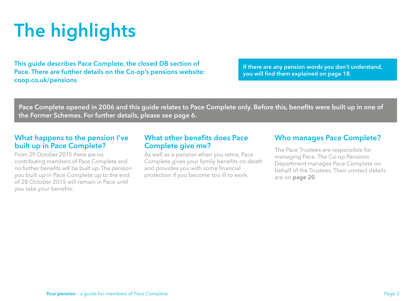# **The highlights**

**This guide describes Pace Complete, the closed DB section of Pace. There are further details on the Co-op's pensions website: [coop.co.uk/pensions](http://coop.co.uk/pensions)**

**If there are any pension words you don't understand, you will find them explained on [page 18](#page-17-0).**

**Pace Complete opened in 2006 and this guide relates to Pace Complete only. Before this, benefits were built up in one of the Former Schemes. For further details, please see [page 6.](#page-5-0)**

#### **What happens to the pension I've built up in Pace Complete?**

From 29 October 2015 there are no contributing members of Pace Complete and no further benefits will be built up. The pension you built up in Pace Complete up to the end of 28 October 2015 will remain in Pace until you take your benefits.

### **What other benefits does Pace Complete give me?**

As well as a pension when you retire, Pace Complete gives your family benefits on death and provides you with some financial protection if you become too ill to work.

## **Who manages Pace Complete?**

The Pace Trustees are responsible for managing Pace. The Co-op Pensions Department manages Pace Complete on behalf of the Trustees. Their contact details are on **[page 20](#page-19-0)**.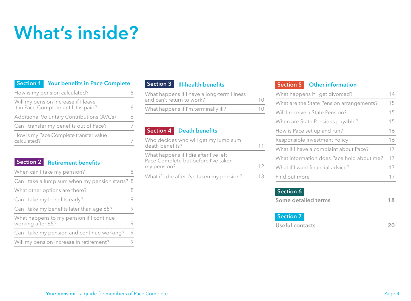# **What's inside?**

| Section 1 Your benefits in Pace Complete |                                                                              |   |
|------------------------------------------|------------------------------------------------------------------------------|---|
|                                          | How is my pension calculated?                                                |   |
|                                          | Will my pension increase if I leave<br>it in Pace Complete until it is paid? | 6 |
|                                          | <b>Additional Voluntary Contributions (AVCs)</b>                             | 6 |
| Can I transfer my benefits out of Pace?  |                                                                              |   |
| calculated?                              | How is my Pace Complete transfer value                                       |   |

#### **[Retirement benefits](#page-7-0) Section 2**

| When can I take my pension?                                   |   |
|---------------------------------------------------------------|---|
| Can I take a lump sum when my pension starts? 8               |   |
| What other options are there?                                 | 8 |
| Can I take my benefits early?                                 | 9 |
| Can I take my benefits later than age 65?                     | 9 |
| What happens to my pension if I continue<br>working after 65? | 9 |
| Can I take my pension and continue working?                   | 9 |
| Will my pension increase in retirement?                       | 9 |
|                                                               |   |

| Section 3 III-health benefits                                                |    |
|------------------------------------------------------------------------------|----|
| What happens if I have a long-term illness<br>and can't return to work?      | 10 |
| What happens if I'm terminally ill?                                          |    |
|                                                                              |    |
| <b>Death benefits</b><br>Section 4                                           |    |
| Who decides who will get my lump sum<br>death benefits?                      | 11 |
| What happens if I die after I've left<br>Pace Complete but before I've taken |    |
| my pension?                                                                  | 12 |
| What if I die after I've taken my pension?                                   | 13 |
|                                                                              |    |

**Section 3**

#### **[Other information](#page-13-0) Section 5**

| What happens if I get divorced?           |    |
|-------------------------------------------|----|
| What are the State Pension arrangements?  | 15 |
| Will I receive a State Pension?           | 15 |
| When are State Pensions payable?          | 15 |
| How is Pace set up and run?               | 16 |
| Responsible Investment Policy             | 16 |
| What if I have a complaint about Pace?    | 17 |
| What information does Pace hold about me? | 17 |
| What if I want financial advice?          |    |
| Find out more                             |    |
|                                           |    |

#### **Section 6**

| Some detailed terms | 18 |
|---------------------|----|
|                     |    |
| Section 7           |    |

**[Useful contacts](#page-19-0) 20**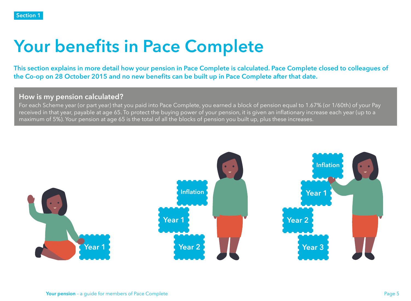# <span id="page-4-0"></span>**Your benefits in Pace Complete**

**This section explains in more detail how your pension in Pace Complete is calculated. Pace Complete closed to colleagues of the Co-op on 28 October 2015 and no new benefits can be built up in Pace Complete after that date.**

#### **How is my pension calculated?**

For each Scheme year (or part year) that you paid into Pace Complete, you earned a block of pension equal to 1.67% (or 1/60th) of your Pay received in that year, payable at age 65. To protect the buying power of your pension, it is given an inflationary increase each year (up to a maximum of 5%). Your pension at age 65 is the total of all the blocks of pension you built up, plus these increases.

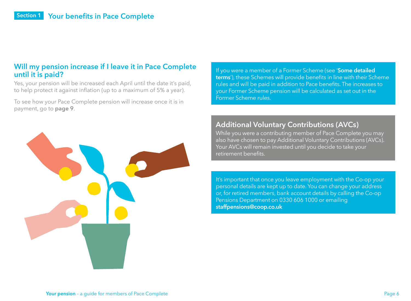#### <span id="page-5-0"></span>**Will my pension increase if I leave it in Pace Complete until it is paid?**

Yes, your pension will be increased each April until the date it's paid, to help protect it against inflation (up to a maximum of 5% a year).

To see how your Pace Complete pension will increase once it is in payment, go to **[page 9](#page-8-0)**.



#### **Additional Voluntary Contributions (AVCs)**

While you were a contributing member of Pace Complete you may also have chosen to pay Additional Voluntary Contributions (AVCs). Your AVCs will remain invested until you decide to take your retirement benefits.

It's important that once you leave employment with the Co-op your personal details are kept up to date. You can change your address or, for retired members, bank account details by calling the Co-op Pensions Department on 0330 606 1000 or emailing **[staffpensions@coop.co.uk](mailto:staffpensions%40coop.co.uk?subject=)**

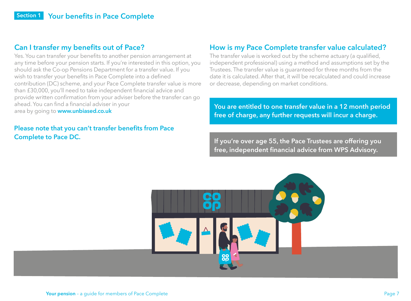# <span id="page-6-0"></span>**Can I transfer my benefits out of Pace?**

Yes. You can transfer your benefits to another pension arrangement at any time before your pension starts. If you're interested in this option, you should ask the Co-op Pensions Department for a transfer value. If you wish to transfer your benefits in Pace Complete into a defined contribution (DC) scheme, and your Pace Complete transfer value is more than £30,000, you'll need to take independent financial advice and provide written confirmation from your adviser before the transfer can go ahead. You can find a financial adviser in your<br>area by going to **www.unbiased.co.uk** 

#### **Please note that you can't transfer benefits from Pace Complete to Pace DC.**

# **How is my Pace Complete transfer value calculated?**

The transfer value is worked out by the scheme actuary (a qualified, independent professional) using a method and assumptions set by the Trustees. The transfer value is guaranteed for three months from the date it is calculated. After that, it will be recalculated and could increase or decrease, depending on market conditions.

You are entitled to one transfer value in a 12 month period **free of charge, any further requests will incur a charge.**

**If you're over age 55, the Pace Trustees are offering you free, independent financial advice from WPS Advisory.** 

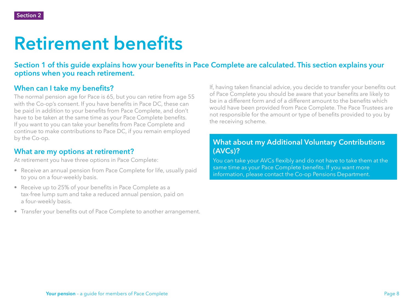# <span id="page-7-0"></span>**Retirement benefits**

#### **Section 1 of this guide explains how your benefits in Pace Complete are calculated. This section explains your options when you reach retirement.**

# **When can I take my benefits?**

The normal pension age for Pace is 65, but you can retire from age 55 with the Co-op's consent. If you have benefits in Pace DC, these can be paid in addition to your benefits from Pace Complete, and don't have to be taken at the same time as your Pace Complete benefits. If you want to you can take your benefits from Pace Complete and continue to make contributions to Pace DC, if you remain employed by the Co-op.

# **What are my options at retirement?**

At retirement you have three options in Pace Complete:

- Receive an annual pension from Pace Complete for life, usually paid to you on a four-weekly basis.
- Receive up to 25% of your benefits in Pace Complete as a tax-free lump sum and take a reduced annual pension, paid on a four-weekly basis.
- Transfer your benefits out of Pace Complete to another arrangement.

If, having taken financial advice, you decide to transfer your benefits out of Pace Complete you should be aware that your benefits are likely to be in a different form and of a different amount to the benefits which would have been provided from Pace Complete. The Pace Trustees are not responsible for the amount or type of benefits provided to you by the receiving scheme.

# **What about my Additional Voluntary Contributions (AVCs)?**

You can take your AVCs flexibly and do not have to take them at the same time as your Pace Complete benefits. If you want more information, please contact the Co-op Pensions Department.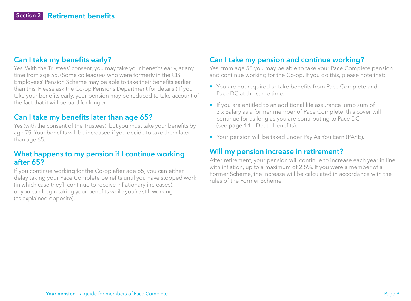## <span id="page-8-0"></span>**Can I take my benefits early?**

Yes. With the Trustees' consent, you may take your benefits early, at any time from age 55. (Some colleagues who were formerly in the CIS Employees' Pension Scheme may be able to take their benefits earlier than this. Please ask the Co-op Pensions Department for details.) If you take your benefits early, your pension may be reduced to take account of the fact that it will be paid for longer.

## **Can I take my benefits later than age 65?**

Yes (with the consent of the Trustees), but you must take your benefits by age 75. Your benefits will be increased if you decide to take them later than age 65.

#### **What happens to my pension if I continue working after 65?**

If you continue working for the Co-op after age 65, you can either delay taking your Pace Complete benefits until you have stopped work (in which case they'll continue to receive inflationary increases), or you can begin taking your benefits while you're still working (as explained opposite).

# **Can I take my pension and continue working?**

Yes, from age 55 you may be able to take your Pace Complete pension and continue working for the Co-op. If you do this, please note that:

- You are not required to take benefits from Pace Complete and Pace DC at the same time.
- If you are entitled to an additional life assurance lump sum of 3 x Salary as a former member of Pace Complete, this cover will continue for as long as you are contributing to Pace DC (see **[page 11](#page-10-0)** – Death benefits).
- Your pension will be taxed under Pay As You Earn (PAYE).

#### **Will my pension increase in retirement?**

After retirement, your pension will continue to increase each year in line with inflation, up to a maximum of 2.5%. If you were a member of a Former Scheme, the increase will be calculated in accordance with the rules of the Former Scheme.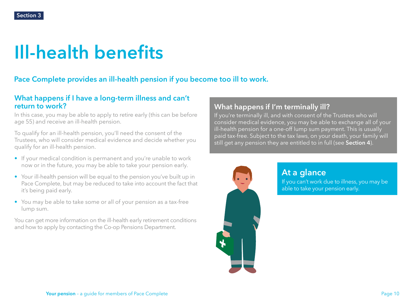# <span id="page-9-0"></span>**Ill-health benefits**

# **Pace Complete provides an ill-health pension if you become too ill to work.**

#### **What happens if I have a long-term illness and can't return to work?**

In this case, you may be able to apply to retire early (this can be before age 55) and receive an ill-health pension.

To qualify for an ill-health pension, you'll need the consent of the Trustees, who will consider medical evidence and decide whether you qualify for an ill-health pension.

- If your medical condition is permanent and you're unable to work now or in the future, you may be able to take your pension early.
- Your ill-health pension will be equal to the pension you've built up in Pace Complete, but may be reduced to take into account the fact that it's being paid early.
- You may be able to take some or all of your pension as a tax-free lump sum.

You can get more information on the ill-health early retirement conditions and how to apply by contacting the Co-op Pensions Department.

# **What happens if I'm terminally ill?**

If you're terminally ill, and with consent of the Trustees who will consider medical evidence, you may be able to exchange all of your ill-health pension for a one-off lump sum payment. This is usually paid tax-free. Subject to the tax laws, on your death, your family will still get any pension they are entitled to in full (see **[Section 4](#page-10-0)**).



**At a glance** If you can't work due to illness, you may be

able to take your pension early.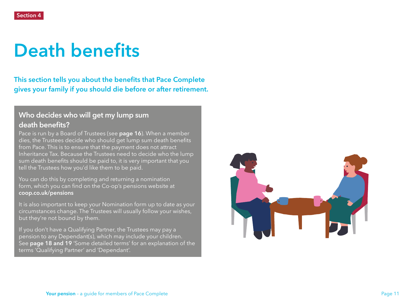# <span id="page-10-0"></span>**Death benefits**

**This section tells you about the benefits that Pace Complete gives your family if you should die before or after retirement.**

# **Who decides who will get my lump sum death benefits?**

Pace is run by a Board of Trustees (see **[page 16](#page-15-0)**). When a member dies, the Trustees decide who should get lump sum death benefits from Pace. This is to ensure that the payment does not attract Inheritance Tax. Because the Trustees need to decide who the lump sum death benefits should be paid to, it is very important that you tell the Trustees how you'd like them to be paid.

You can do this by completing and returning a nomination form, which you can find on the Co-op's pensions website at **[coop.co.uk/pensions](http://coop.co.uk/pensions)**

It is also important to keep your Nomination form up to date as your circumstances change. The Trustees will usually follow your wishes, but they're not bound by them.

If you don't have a Qualifying Partner, the Trustees may pay a pension to any Dependant(s), which may include your children. See **[page 18](#page-17-0) [and 19](#page-18-0)** 'Some detailed terms' for an explanation of the terms 'Qualifying Partner' and 'Dependant'.

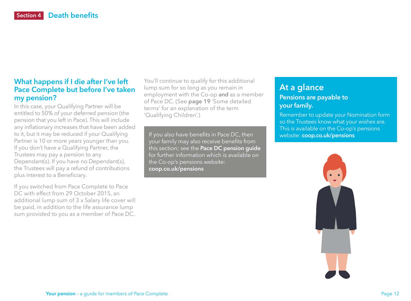## <span id="page-11-0"></span>**What happens if I die after I've left Pace Complete but before I've taken my pension?**

In this case, your Qualifying Partner will be entitled to 50% of your deferred pension (the pension that you left in Pace). This will include any inflationary increases that have been added to it, but it may be reduced if your Qualifying Partner is 10 or more years younger than you. If you don't have a Qualifying Partner, the Trustees may pay a pension to any Dependant(s). If you have no Dependant(s), the Trustees will pay a refund of contributions plus interest to a Beneficiary.

If you switched from Pace Complete to Pace DC with effect from 29 October 2015, an additional lump sum of 3 x Salary life cover will be paid, in addition to the life assurance lump sum provided to you as a member of Pace DC.

You'll continue to qualify for this additional lump sum for so long as you remain in employment with the Co-op **and** as a member of Pace DC. (See **[page 19](#page-18-0)** 'Some detailed terms' for an explanation of the term 'Qualifying Children'.)

If you also have benefits in Pace DC, then your family may also receive benefits from this section; see the **[Pace DC pension guide](https://pensions.coop.co.uk/Uploads/Documents/00/00/00/04/DocumentDocument_FILE/Co-op-Group-Pace-DC-Member-Guide.pdf)** for further information which is available on the Co-op's pensions website: **[coop.co.uk/pensions](http://coop.co.uk/pensions)**

# **At a glance Pensions are payable to your family.**

Remember to update your Nomination form so the Trustees know what your wishes are. This is available on the Co-op's pensions website: **[coop.co.uk/pensions](http://coop.co.uk/pensions)**

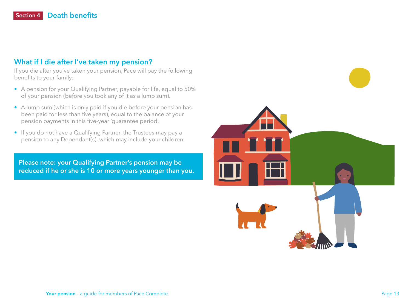#### <span id="page-12-0"></span>**What if I die after I've taken my pension?**

If you die after you've taken your pension, Pace will pay the following benefits to your family:

- A pension for your Qualifying Partner, payable for life, equal to 50% of your pension (before you took any of it as a lump sum).
- A lump sum (which is only paid if you die before your pension has been paid for less than five years), equal to the balance of your pension payments in this five-year 'guarantee period'.
- If you do not have a Qualifying Partner, the Trustees may pay a pension to any Dependant(s), which may include your children.

**Please note: your Qualifying Partner's pension may be reduced if he or she is 10 or more years younger than you.** 

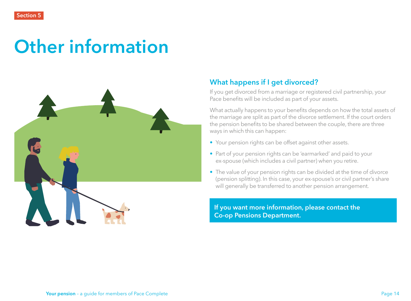# <span id="page-13-0"></span>**Other information**



## **What happens if I get divorced?**

If you get divorced from a marriage or registered civil partnership, your Pace benefits will be included as part of your assets.

What actually happens to your benefits depends on how the total assets of the marriage are split as part of the divorce settlement. If the court orders the pension benefits to be shared between the couple, there are three ways in which this can happen:

- Your pension rights can be offset against other assets.
- Part of your pension rights can be 'earmarked' and paid to your ex-spouse (which includes a civil partner) when you retire.
- The value of your pension rights can be divided at the time of divorce (pension splitting). In this case, your ex-spouse's or civil partner's share will generally be transferred to another pension arrangement.

**If you want more information, please contact the Co-op Pensions Department.**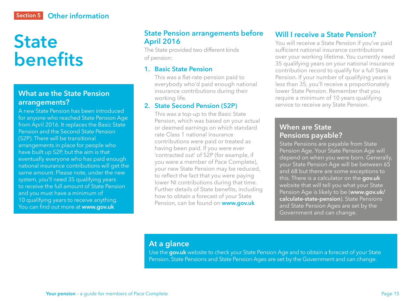# <span id="page-14-0"></span>**Other information Section 5**

# **State benefits**

### **What are the State Pension arrangements?**

A new State Pension has been introduced for anyone who reached State Pension Age from April 2016. It replaces the Basic State Pension and the Second State Pension (S2P). There will be transitional arrangements in place for people who have built up S2P, but the aim is that eventually everyone who has paid enough national insurance contributions will get the same amount. Please note, under the new system, you'll need 35 qualifying years to receive the full amount of State Pension and you must have a minimum of 10 qualifying years to receive anything. You can find out more at **www.gov.uk**

### **State Pension arrangements before April 2016**

The State provided two different kinds of pension:

#### **1. Basic State Pension**

This was a flat-rate pension paid to everybody who'd paid enough national insurance contributions during their working life.

#### **2. State Second Pension (S2P)**

This was a top-up to the Basic State Pension, which was based on your actual or deemed earnings on which standard rate Class 1 national insurance contributions were paid or treated as having been paid. If you were ever 'contracted out' of S2P (for example, if you were a member of Pace Complete), your new State Pension may be reduced, to reflect the fact that you were paying lower NI contributions during that time. Further details of State benefits, including how to obtain a forecast of your State Pension, can be found on **www.gov.uk**

## **Will I receive a State Pension?**

You will receive a State Pension if you've paid sufficient national insurance contributions over your working lifetime. You currently need 35 qualifying years on your national insurance contribution record to qualify for a full State Pension. If your number of qualifying years is less than 35, you'll receive a proportionately lower State Pension. Remember that you require a minimum of 10 years qualifying service to receive any State Pension.

### **When are State Pensions payable?**

State Pensions are payable from State Pension Age. Your State Pension Age will depend on when you were born. Generally, your State Pension Age will be between 65 and 68 but there are some exceptions to this. There is a calculator on the **[gov.uk](http://gov.uk)** website that will tell you what your State Pension Age is likely to be (**[www.gov.uk/](http://www.gov.uk/calculate-state-pension) [calculate-state-pension](http://www.gov.uk/calculate-state-pension)**). State Pensions and State Pension Ages are set by the Government and can change.

### **At a glance**

Use the **[gov.uk](http://gov.uk)** website to check your State Pension Age and to obtain a forecast of your State Pension. State Pensions and State Pension Ages are set by the Government and can change.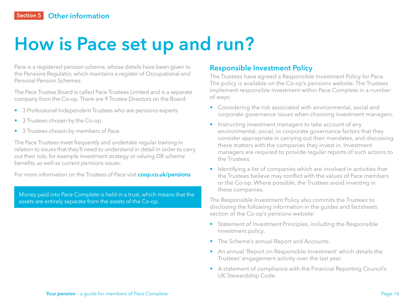# <span id="page-15-0"></span>**How is Pace set up and run?**

Pace is a registered pension scheme, whose details have been given to the Pensions Regulator, which maintains a register of Occupational and Personal Pension Schemes.

The Pace Trustee Board is called Pace Trustees Limited and is a separate company from the Co-op. There are 9 Trustee Directors on the Board:

- 3 Professional Independent Trustees who are pensions experts
- 3 Trustees chosen by the Co-op
- 3 Trustees chosen by members of Pace

The Pace Trustees meet frequently and undertake regular training in relation to issues that they'll need to understand in detail in order to carry out their role, for example investment strategy or valuing DB scheme benefits, as well as current pensions issues.

For more information on the Trustees of Pace visit **[coop.co.uk/pensions](http://coop.co.uk/pensions)**

Money paid into Pace Complete is held in a trust, which means that the assets are entirely separate from the assets of the Co-op.

### **Responsible Investment Policy**

The Trustees have agreed a Responsible Investment Policy for Pace. The policy is available on the Co-op's pensions website. The Trustees implement responsible investment within Pace Complete in a number of ways:

- Considering the risk associated with environmental, social and corporate governance issues when choosing investment managers.
- Instructing investment managers to take account of any environmental, social, or corporate governance factors that they consider appropriate in carrying out their mandates, and discussing these matters with the companies they invest in. Investment managers are required to provide regular reports of such actions to the Trustees.
- Identifying a list of companies which are involved in activities that the Trustees believe may conflict with the values of Pace members or the Co-op. Where possible, the Trustees avoid investing in these companies.

The Responsible Investment Policy also commits the Trustees to disclosing the following information in the guides and factsheets section of the Co-op's pensions website:

- Statement of Investment Principles, including the Responsible Investment policy.
- The Scheme's annual Report and Accounts.
- An annual 'Report on Responsible Investment' which details the Trustees' engagement activity over the last year.
- A statement of compliance with the Financial Reporting Council's UK Stewardship Code.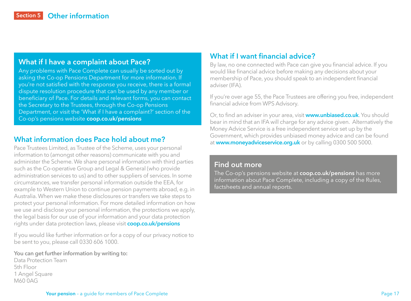#### <span id="page-16-0"></span>**What if I have a complaint about Pace?**

Any problems with Pace Complete can usually be sorted out by asking the Co-op Pensions Department for more information. If you're not satisfied with the response you receive, there is a formal dispute resolution procedure that can be used by any member or beneficiary of Pace. For details and relevant forms, you can contact the Secretary to the Trustees, through the Co-op Pensions Department, or visit the 'What if I have a complaint?' section of the Co-op's pensions website **[coop.co.uk/pensions](http://coop.co.uk/pensions)**

### **What information does Pace hold about me?**

Pace Trustees Limited, as Trustee of the Scheme, uses your personal information to (amongst other reasons) communicate with you and administer the Scheme. We share personal information with third parties such as the Co-operative Group and Legal & General (who provide administration services to us) and to other suppliers of services. In some circumstances, we transfer personal information outside the EEA, for example to Western Union to continue pension payments abroad, e.g. in Australia. When we make these disclosures or transfers we take steps to protect your personal information. For more detailed information on how we use and disclose your personal information, the protections we apply, the legal basis for our use of your information and your data protection rights under data protection laws, please visit **coop.co.uk/pensions**

If you would like further information or for a copy of our privacy notice to be sent to you, please call 0330 606 1000.

#### **You can get further information by writing to:**

Data Protection Team 5th Floor 1 Angel Square M60 0AG

#### **What if I want financial advice?**

By law, no one connected with Pace can give you financial advice. If you would like financial advice before making any decisions about your membership of Pace, you should speak to an independent financial adviser (IFA).

If you're over age 55, the Pace Trustees are offering you free, independent financial advice from WPS Advisory.

Or, to find an adviser in your area, visit **[www.unbiased.co.uk](http://www.unbiased.co.uk)**. You should bear in mind that an IFA will charge for any advice given. Alternatively the Money Advice Service is a free independent service set up by the Government, which provides unbiased money advice and can be found at **[www.moneyadviceservice.org.uk](http://www.moneyadviceservice.org.uk)** or by calling 0300 500 5000.

#### **Find out more**

The Co-op's pensions website at **[coop.co.uk/pensions](http://coop.co.uk/pensions)** has more information about Pace Complete, including a copy of the Rules, factsheets and annual reports.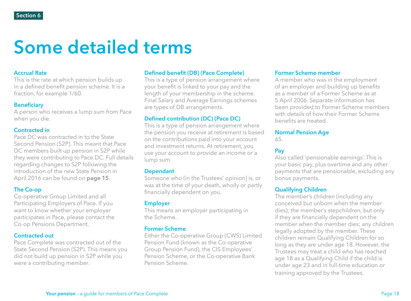# <span id="page-17-0"></span>**Some detailed terms**

#### **Accrual Rate**

This is the rate at which pension builds up in a defined benefit pension scheme. It is a fraction, for example 1/60.

#### **Beneficiary**

A person who receives a lump sum from Pace when you die.

#### **Contracted in**

Pace DC was contracted in to the State Second Pension (S2P). This meant that Pace DC members built up pension in S2P while they were contributing to Pace DC. Full details regarding changes to S2P following the introduction of the new State Pension in April 2016 can be found on **[page 15](#page-14-0)**.

#### **The Co-op**

Co-operative Group Limited and all Participating Employers of Pace. If you want to know whether your employer participates in Pace, please contact the Co-op Pensions Department.

#### **Contracted out**

Pace Complete was contracted out of the State Second Pension (S2P). This means you did not build up pension in S2P while you were a contributing member.

#### **Defined benefit (DB) (Pace Complete)**

This is a type of pension arrangement where your benefit is linked to your pay and the length of your membership in the scheme. Final Salary and Average Earnings schemes are types of DB arrangements.

#### **Defined contribution (DC) (Pace DC)**

This is a type of pension arrangement where the pension you receive at retirement is based on the contributions paid into your account and investment returns. At retirement, you use your account to provide an income or a lump sum.

#### **Dependant**

Someone who (in the Trustees' opinion) is, or was at the time of your death, wholly or partly financially dependent on you.

#### **Employer**

This means an employer participating in the Scheme.

#### **Former Scheme**

Either the Co-operative Group (CWS) Limited Pension Fund (known as the Co-operative Group Pension Fund), the CIS Employees' Pension Scheme, or the Co-operative Bank Pension Scheme.

#### **Former Scheme member**

A member who was in the employment of an employer and building up benefits as a member of a Former Scheme as at 5 April 2006. Separate information has been provided to Former Scheme members with details of how their Former Scheme benefits are treated.

#### **Normal Pension Age**

65.

#### **Pay**

Also called 'pensionable earnings'. This is your basic pay, plus overtime and any other payments that are pensionable, excluding any bonus payments.

#### **Qualifying Children**

The member's children (including any conceived but unborn when the member dies); the member's stepchildren, but only if they are financially dependent on the member when the member dies; any children legally adopted by the member. These children remain Qualifying Children for so long as they are under age 18. However, the Trustees may treat a child who has reached age 18 as a Qualifying Child if the child is under age 23 and in full-time education or training approved by the Trustees.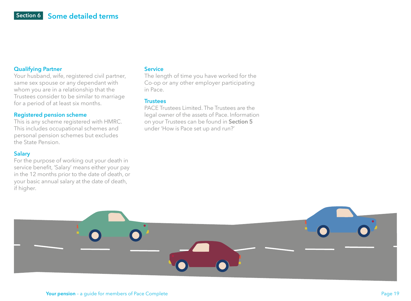#### <span id="page-18-0"></span>**Qualifying Partner**

Your husband, wife, registered civil partner, same sex spouse or any dependant with whom you are in a relationship that the Trustees consider to be similar to marriage for a period of at least six months.

#### **Registered pension scheme**

This is any scheme registered with HMRC. This includes occupational schemes and personal pension schemes but excludes the State Pension.

#### **Salary**

For the purpose of working out your death in service benefit, 'Salary' means either your pay in the 12 months prior to the date of death, or your basic annual salary at the date of death, if higher.

#### **Service**

The length of time you have worked for the Co-op or any other employer participating in Pace.

#### **Trustees**

PACE Trustees Limited. The Trustees are the legal owner of the assets of Pace. Information on your Trustees can be found in **[Section 5](#page-13-0)** under 'How is Pace set up and run?'

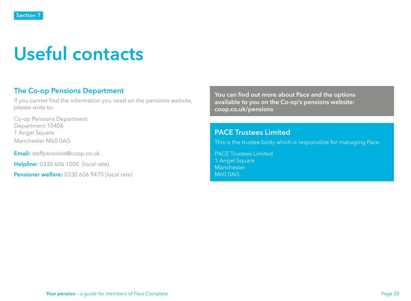# <span id="page-19-0"></span>**Useful contacts**

## **The Co-op Pensions Department**

If you cannot find the information you need on the pensions website, please write to:

Co-op Pensions Department Department 10406 1 Angel Square Manchester M60 0AG

**Email:** [staffpensions@co](mailto:staffpensions%40co-operative.coop?subject=)op.co.uk

**Helpline:** 0330 606 1000 (local rate)

**Pensioner welfare:** 0330 606 9470 (local rate)

**You can find out more about Pace and the options available to you on the Co-op's pensions website: [coop.co.uk/pensions](http://coop.co.uk/pensions)**

#### **PACE Trustees Limited**

This is the trustee body which is responsible for managing Pace.

PACE Trustees Limited 1 Angel Square Manchester M60 0AG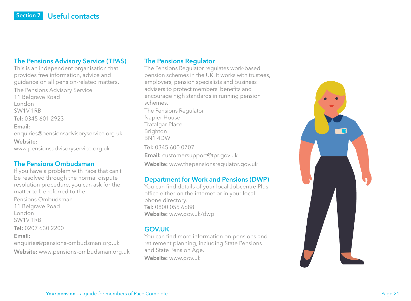#### **The Pensions Advisory Service (TPAS)**

This is an independent organisation that provides free information, advice and guidance on all pension-related matters. The Pensions Advisory Service 11 Belgrave Road London SW1V 1RB **Tel:** 0345 601 2923 **Email:**  [enquiries@pensionsadvisoryservice.org.uk](mailto:enquiries%40pensionsadvisoryservice.org.uk?subject=) **Website:**  [www.pensionsadvisoryservice.org.uk](http://www.pensionsadvisoryservice.org.uk)

#### **The Pensions Ombudsman**

If you have a problem with Pace that can't be resolved through the normal dispute resolution procedure, you can ask for the matter to be referred to the:

Pensions Ombudsman 11 Belgrave Road London SW1V 1RB **Tel:** 0207 630 2200 **Email:**  [enquiries@pensions-ombudsman.org.uk](mailto:enquiries%40pensions-ombudsman.org.uk?subject=) **Website:** [www.pensions-ombudsman.org.uk](http://www.pensions-ombudsman.org.uk)

#### **The Pensions Regulator**

The Pensions Regulator regulates work-based pension schemes in the UK. It works with trustees, employers, pension specialists and business advisers to protect members' benefits and encourage high standards in running pension schemes.

The Pensions Regulator Napier House Trafalgar Place Brighton BN1 4DW **Tel:** 0345 600 0707 **Email:** [customersupport@tpr.gov.uk](mailto:customersupport%40tpr.gov.uk?subject=) **Website:** [www.thepensionsregulator.gov.uk](http://www.thepensionsregulator.gov.uk)

#### **Department for Work and Pensions (DWP)**

You can find details of your local Jobcentre Plus office either on the internet or in your local phone directory. **Tel:** 0800 055 6688 **Website:** [www.gov.uk/dwp](http://www.gov.uk/dwp)

#### **GOV.UK**

You can find more information on pensions and retirement planning, including State Pensions and State Pension Age. **Website:** [www.gov.uk](http://www.gov.uk)